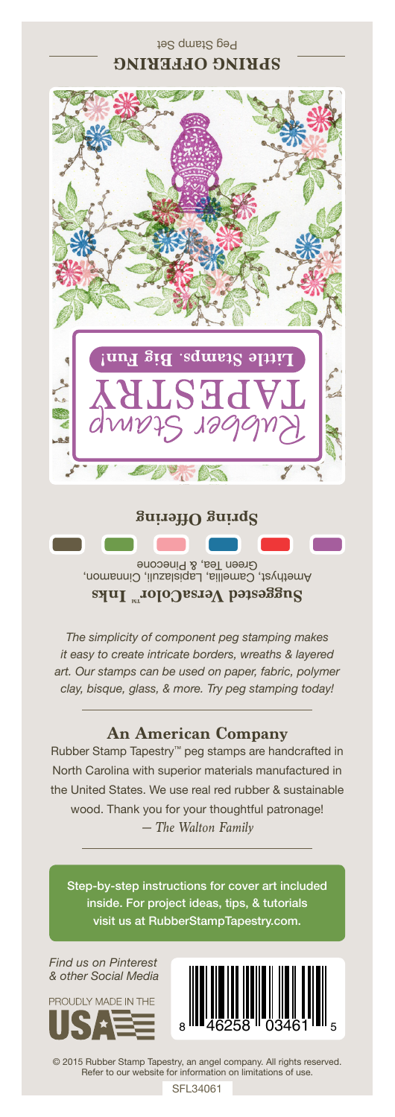

Amethyst, Camellia, Lapislazuli, Cinnamon, Green Tea, & Pinecone **Suggested VersaColorTM Inks**

*The simplicity of component peg stamping makes it easy to create intricate borders, wreaths & layered art. Our stamps can be used on paper, fabric, polymer clay, bisque, glass, & more. Try peg stamping today!*

## **An American Company**

*— The Walton Family* Rubber Stamp Tapestry™ peg stamps are handcrafted in North Carolina with superior materials manufactured in the United States. We use real red rubber & sustainable wood. Thank you for your thoughtful patronage!

Step-by-step instructions for cover art included inside. For project ideas, tips, & tutorials visit us at RubberStampTapestry.com.

*Find us on Pinterest & other Social Media*





© 2015 Rubber Stamp Tapestry, an angel company. All rights reserved. Refer to our website for information on limitations of use.